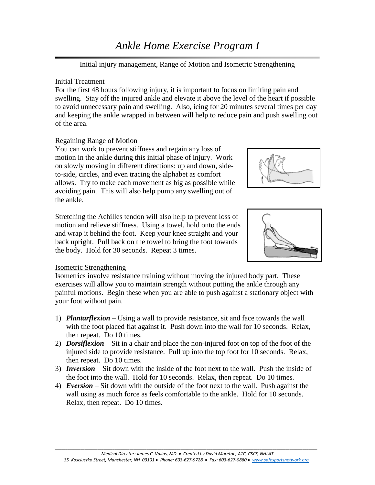# *Ankle Home Exercise Program I*

Initial injury management, Range of Motion and Isometric Strengthening

#### Initial Treatment

For the first 48 hours following injury, it is important to focus on limiting pain and swelling. Stay off the injured ankle and elevate it above the level of the heart if possible to avoid unnecessary pain and swelling. Also, icing for 20 minutes several times per day and keeping the ankle wrapped in between will help to reduce pain and push swelling out of the area.

## Regaining Range of Motion

You can work to prevent stiffness and regain any loss of motion in the ankle during this initial phase of injury. Work on slowly moving in different directions: up and down, sideto-side, circles, and even tracing the alphabet as comfort allows. Try to make each movement as big as possible while avoiding pain. This will also help pump any swelling out of the ankle.



Stretching the Achilles tendon will also help to prevent loss of motion and relieve stiffness. Using a towel, hold onto the ends and wrap it behind the foot. Keep your knee straight and your back upright. Pull back on the towel to bring the foot towards the body. Hold for 30 seconds. Repeat 3 times.



#### Isometric Strengthening

Isometrics involve resistance training without moving the injured body part. These exercises will allow you to maintain strength without putting the ankle through any painful motions. Begin these when you are able to push against a stationary object with your foot without pain.

- 1) *Plantarflexion* Using a wall to provide resistance, sit and face towards the wall with the foot placed flat against it. Push down into the wall for 10 seconds. Relax, then repeat. Do 10 times.
- 2) *Dorsiflexion –* Sit in a chair and place the non-injured foot on top of the foot of the injured side to provide resistance. Pull up into the top foot for 10 seconds. Relax, then repeat. Do 10 times.
- 3) *Inversion* Sit down with the inside of the foot next to the wall. Push the inside of the foot into the wall. Hold for 10 seconds. Relax, then repeat. Do 10 times.
- 4) *Eversion –* Sit down with the outside of the foot next to the wall. Push against the wall using as much force as feels comfortable to the ankle. Hold for 10 seconds. Relax, then repeat. Do 10 times.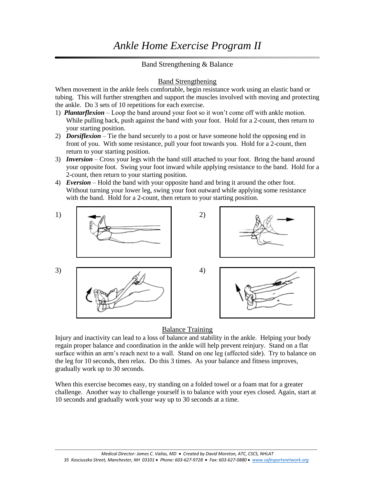## Band Strengthening & Balance

#### Band Strengthening

When movement in the ankle feels comfortable, begin resistance work using an elastic band or tubing. This will further strengthen and support the muscles involved with moving and protecting the ankle. Do 3 sets of 10 repetitions for each exercise.

- 1) *Plantarflexion* Loop the band around your foot so it won't come off with ankle motion. While pulling back, push against the band with your foot. Hold for a 2-count, then return to your starting position.
- 2) *Dorsiflexion* Tie the band securely to a post or have someone hold the opposing end in front of you. With some resistance, pull your foot towards you. Hold for a 2-count, then return to your starting position.
- 3) *Inversion* Cross your legs with the band still attached to your foot. Bring the band around your opposite foot. Swing your foot inward while applying resistance to the band. Hold for a 2-count, then return to your starting position.
- 4) *Eversion* Hold the band with your opposite hand and bring it around the other foot. Without turning your lower leg, swing your foot outward while applying some resistance with the band. Hold for a 2-count, then return to your starting position.



## Balance Training

Injury and inactivity can lead to a loss of balance and stability in the ankle. Helping your body regain proper balance and coordination in the ankle will help prevent reinjury. Stand on a flat surface within an arm's reach next to a wall. Stand on one leg (affected side). Try to balance on the leg for 10 seconds, then relax. Do this 3 times. As your balance and fitness improves, gradually work up to 30 seconds.

When this exercise becomes easy, try standing on a folded towel or a foam mat for a greater challenge. Another way to challenge yourself is to balance with your eyes closed. Again, start at 10 seconds and gradually work your way up to 30 seconds at a time.